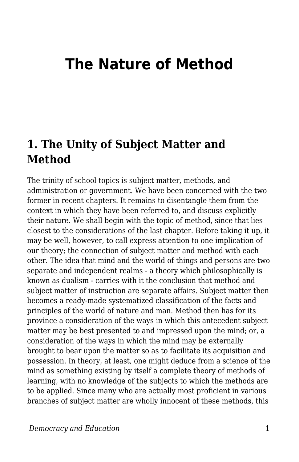# **The Nature of Method**

### **1. The Unity of Subject Matter and Method**

The trinity of school topics is subject matter, methods, and administration or government. We have been concerned with the two former in recent chapters. It remains to disentangle them from the context in which they have been referred to, and discuss explicitly their nature. We shall begin with the topic of method, since that lies closest to the considerations of the last chapter. Before taking it up, it may be well, however, to call express attention to one implication of our theory; the connection of subject matter and method with each other. The idea that mind and the world of things and persons are two separate and independent realms - a theory which philosophically is known as dualism - carries with it the conclusion that method and subject matter of instruction are separate affairs. Subject matter then becomes a ready-made systematized classification of the facts and principles of the world of nature and man. Method then has for its province a consideration of the ways in which this antecedent subject matter may be best presented to and impressed upon the mind; or, a consideration of the ways in which the mind may be externally brought to bear upon the matter so as to facilitate its acquisition and possession. In theory, at least, one might deduce from a science of the mind as something existing by itself a complete theory of methods of learning, with no knowledge of the subjects to which the methods are to be applied. Since many who are actually most proficient in various branches of subject matter are wholly innocent of these methods, this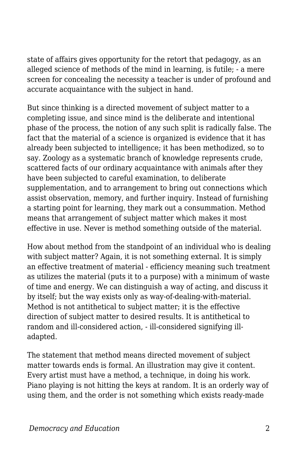state of affairs gives opportunity for the retort that pedagogy, as an alleged science of methods of the mind in learning, is futile; - a mere screen for concealing the necessity a teacher is under of profound and accurate acquaintance with the subject in hand.

But since thinking is a directed movement of subject matter to a completing issue, and since mind is the deliberate and intentional phase of the process, the notion of any such split is radically false. The fact that the material of a science is organized is evidence that it has already been subjected to intelligence; it has been methodized, so to say. Zoology as a systematic branch of knowledge represents crude, scattered facts of our ordinary acquaintance with animals after they have been subjected to careful examination, to deliberate supplementation, and to arrangement to bring out connections which assist observation, memory, and further inquiry. Instead of furnishing a starting point for learning, they mark out a consummation. Method means that arrangement of subject matter which makes it most effective in use. Never is method something outside of the material.

How about method from the standpoint of an individual who is dealing with subject matter? Again, it is not something external. It is simply an effective treatment of material - efficiency meaning such treatment as utilizes the material (puts it to a purpose) with a minimum of waste of time and energy. We can distinguish a way of acting, and discuss it by itself; but the way exists only as way-of-dealing-with-material. Method is not antithetical to subject matter; it is the effective direction of subject matter to desired results. It is antithetical to random and ill-considered action, - ill-considered signifying illadapted.

The statement that method means directed movement of subject matter towards ends is formal. An illustration may give it content. Every artist must have a method, a technique, in doing his work. Piano playing is not hitting the keys at random. It is an orderly way of using them, and the order is not something which exists ready-made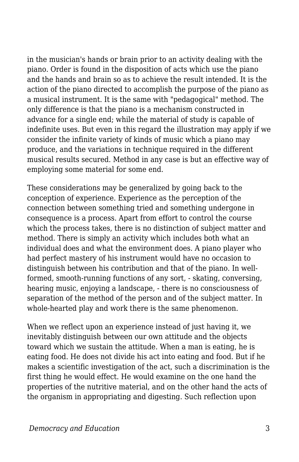in the musician's hands or brain prior to an activity dealing with the piano. Order is found in the disposition of acts which use the piano and the hands and brain so as to achieve the result intended. It is the action of the piano directed to accomplish the purpose of the piano as a musical instrument. It is the same with "pedagogical" method. The only difference is that the piano is a mechanism constructed in advance for a single end; while the material of study is capable of indefinite uses. But even in this regard the illustration may apply if we consider the infinite variety of kinds of music which a piano may produce, and the variations in technique required in the different musical results secured. Method in any case is but an effective way of employing some material for some end.

These considerations may be generalized by going back to the conception of experience. Experience as the perception of the connection between something tried and something undergone in consequence is a process. Apart from effort to control the course which the process takes, there is no distinction of subject matter and method. There is simply an activity which includes both what an individual does and what the environment does. A piano player who had perfect mastery of his instrument would have no occasion to distinguish between his contribution and that of the piano. In wellformed, smooth-running functions of any sort, - skating, conversing, hearing music, enjoying a landscape, - there is no consciousness of separation of the method of the person and of the subject matter. In whole-hearted play and work there is the same phenomenon.

When we reflect upon an experience instead of just having it, we inevitably distinguish between our own attitude and the objects toward which we sustain the attitude. When a man is eating, he is eating food. He does not divide his act into eating and food. But if he makes a scientific investigation of the act, such a discrimination is the first thing he would effect. He would examine on the one hand the properties of the nutritive material, and on the other hand the acts of the organism in appropriating and digesting. Such reflection upon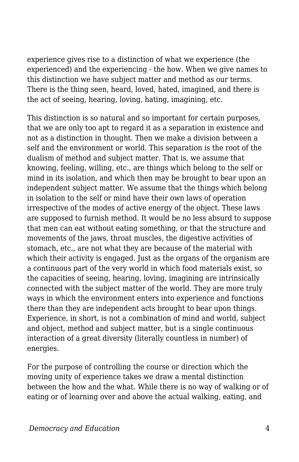experience gives rise to a distinction of what we experience (the experienced) and the experiencing - the how. When we give names to this distinction we have subject matter and method as our terms. There is the thing seen, heard, loved, hated, imagined, and there is the act of seeing, hearing, loving, hating, imagining, etc.

This distinction is so natural and so important for certain purposes, that we are only too apt to regard it as a separation in existence and not as a distinction in thought. Then we make a division between a self and the environment or world. This separation is the root of the dualism of method and subject matter. That is, we assume that knowing, feeling, willing, etc., are things which belong to the self or mind in its isolation, and which then may be brought to bear upon an independent subject matter. We assume that the things which belong in isolation to the self or mind have their own laws of operation irrespective of the modes of active energy of the object. These laws are supposed to furnish method. It would be no less absurd to suppose that men can eat without eating something, or that the structure and movements of the jaws, throat muscles, the digestive activities of stomach, etc., are not what they are because of the material with which their activity is engaged. Just as the organs of the organism are a continuous part of the very world in which food materials exist, so the capacities of seeing, hearing, loving, imagining are intrinsically connected with the subject matter of the world. They are more truly ways in which the environment enters into experience and functions there than they are independent acts brought to bear upon things. Experience, in short, is not a combination of mind and world, subject and object, method and subject matter, but is a single continuous interaction of a great diversity (literally countless in number) of energies.

For the purpose of controlling the course or direction which the moving unity of experience takes we draw a mental distinction between the how and the what. While there is no way of walking or of eating or of learning over and above the actual walking, eating, and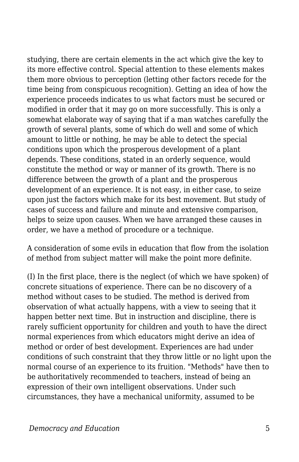studying, there are certain elements in the act which give the key to its more effective control. Special attention to these elements makes them more obvious to perception (letting other factors recede for the time being from conspicuous recognition). Getting an idea of how the experience proceeds indicates to us what factors must be secured or modified in order that it may go on more successfully. This is only a somewhat elaborate way of saying that if a man watches carefully the growth of several plants, some of which do well and some of which amount to little or nothing, he may be able to detect the special conditions upon which the prosperous development of a plant depends. These conditions, stated in an orderly sequence, would constitute the method or way or manner of its growth. There is no difference between the growth of a plant and the prosperous development of an experience. It is not easy, in either case, to seize upon just the factors which make for its best movement. But study of cases of success and failure and minute and extensive comparison, helps to seize upon causes. When we have arranged these causes in order, we have a method of procedure or a technique.

A consideration of some evils in education that flow from the isolation of method from subject matter will make the point more definite.

(I) In the first place, there is the neglect (of which we have spoken) of concrete situations of experience. There can be no discovery of a method without cases to be studied. The method is derived from observation of what actually happens, with a view to seeing that it happen better next time. But in instruction and discipline, there is rarely sufficient opportunity for children and youth to have the direct normal experiences from which educators might derive an idea of method or order of best development. Experiences are had under conditions of such constraint that they throw little or no light upon the normal course of an experience to its fruition. "Methods" have then to be authoritatively recommended to teachers, instead of being an expression of their own intelligent observations. Under such circumstances, they have a mechanical uniformity, assumed to be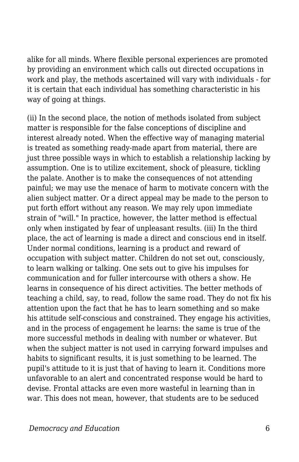alike for all minds. Where flexible personal experiences are promoted by providing an environment which calls out directed occupations in work and play, the methods ascertained will vary with individuals - for it is certain that each individual has something characteristic in his way of going at things.

(ii) In the second place, the notion of methods isolated from subject matter is responsible for the false conceptions of discipline and interest already noted. When the effective way of managing material is treated as something ready-made apart from material, there are just three possible ways in which to establish a relationship lacking by assumption. One is to utilize excitement, shock of pleasure, tickling the palate. Another is to make the consequences of not attending painful; we may use the menace of harm to motivate concern with the alien subject matter. Or a direct appeal may be made to the person to put forth effort without any reason. We may rely upon immediate strain of "will." In practice, however, the latter method is effectual only when instigated by fear of unpleasant results. (iii) In the third place, the act of learning is made a direct and conscious end in itself. Under normal conditions, learning is a product and reward of occupation with subject matter. Children do not set out, consciously, to learn walking or talking. One sets out to give his impulses for communication and for fuller intercourse with others a show. He learns in consequence of his direct activities. The better methods of teaching a child, say, to read, follow the same road. They do not fix his attention upon the fact that he has to learn something and so make his attitude self-conscious and constrained. They engage his activities, and in the process of engagement he learns: the same is true of the more successful methods in dealing with number or whatever. But when the subject matter is not used in carrying forward impulses and habits to significant results, it is just something to be learned. The pupil's attitude to it is just that of having to learn it. Conditions more unfavorable to an alert and concentrated response would be hard to devise. Frontal attacks are even more wasteful in learning than in war. This does not mean, however, that students are to be seduced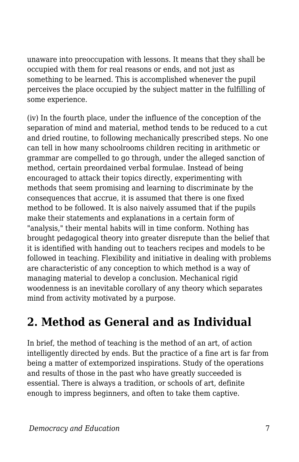unaware into preoccupation with lessons. It means that they shall be occupied with them for real reasons or ends, and not just as something to be learned. This is accomplished whenever the pupil perceives the place occupied by the subject matter in the fulfilling of some experience.

(iv) In the fourth place, under the influence of the conception of the separation of mind and material, method tends to be reduced to a cut and dried routine, to following mechanically prescribed steps. No one can tell in how many schoolrooms children reciting in arithmetic or grammar are compelled to go through, under the alleged sanction of method, certain preordained verbal formulae. Instead of being encouraged to attack their topics directly, experimenting with methods that seem promising and learning to discriminate by the consequences that accrue, it is assumed that there is one fixed method to be followed. It is also naively assumed that if the pupils make their statements and explanations in a certain form of "analysis," their mental habits will in time conform. Nothing has brought pedagogical theory into greater disrepute than the belief that it is identified with handing out to teachers recipes and models to be followed in teaching. Flexibility and initiative in dealing with problems are characteristic of any conception to which method is a way of managing material to develop a conclusion. Mechanical rigid woodenness is an inevitable corollary of any theory which separates mind from activity motivated by a purpose.

### **2. Method as General and as Individual**

In brief, the method of teaching is the method of an art, of action intelligently directed by ends. But the practice of a fine art is far from being a matter of extemporized inspirations. Study of the operations and results of those in the past who have greatly succeeded is essential. There is always a tradition, or schools of art, definite enough to impress beginners, and often to take them captive.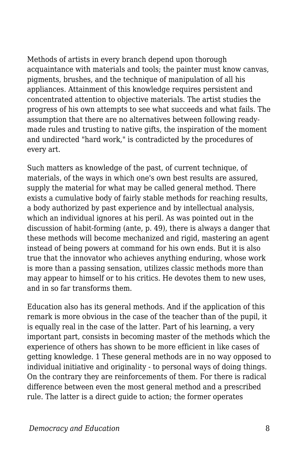Methods of artists in every branch depend upon thorough acquaintance with materials and tools; the painter must know canvas, pigments, brushes, and the technique of manipulation of all his appliances. Attainment of this knowledge requires persistent and concentrated attention to objective materials. The artist studies the progress of his own attempts to see what succeeds and what fails. The assumption that there are no alternatives between following readymade rules and trusting to native gifts, the inspiration of the moment and undirected "hard work," is contradicted by the procedures of every art.

Such matters as knowledge of the past, of current technique, of materials, of the ways in which one's own best results are assured, supply the material for what may be called general method. There exists a cumulative body of fairly stable methods for reaching results, a body authorized by past experience and by intellectual analysis, which an individual ignores at his peril. As was pointed out in the discussion of habit-forming (ante, p. 49), there is always a danger that these methods will become mechanized and rigid, mastering an agent instead of being powers at command for his own ends. But it is also true that the innovator who achieves anything enduring, whose work is more than a passing sensation, utilizes classic methods more than may appear to himself or to his critics. He devotes them to new uses, and in so far transforms them.

Education also has its general methods. And if the application of this remark is more obvious in the case of the teacher than of the pupil, it is equally real in the case of the latter. Part of his learning, a very important part, consists in becoming master of the methods which the experience of others has shown to be more efficient in like cases of getting knowledge. 1 These general methods are in no way opposed to individual initiative and originality - to personal ways of doing things. On the contrary they are reinforcements of them. For there is radical difference between even the most general method and a prescribed rule. The latter is a direct guide to action; the former operates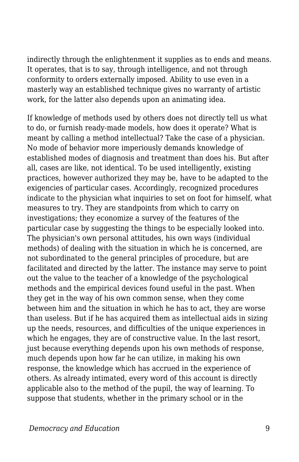indirectly through the enlightenment it supplies as to ends and means. It operates, that is to say, through intelligence, and not through conformity to orders externally imposed. Ability to use even in a masterly way an established technique gives no warranty of artistic work, for the latter also depends upon an animating idea.

If knowledge of methods used by others does not directly tell us what to do, or furnish ready-made models, how does it operate? What is meant by calling a method intellectual? Take the case of a physician. No mode of behavior more imperiously demands knowledge of established modes of diagnosis and treatment than does his. But after all, cases are like, not identical. To be used intelligently, existing practices, however authorized they may be, have to be adapted to the exigencies of particular cases. Accordingly, recognized procedures indicate to the physician what inquiries to set on foot for himself, what measures to try. They are standpoints from which to carry on investigations; they economize a survey of the features of the particular case by suggesting the things to be especially looked into. The physician's own personal attitudes, his own ways (individual methods) of dealing with the situation in which he is concerned, are not subordinated to the general principles of procedure, but are facilitated and directed by the latter. The instance may serve to point out the value to the teacher of a knowledge of the psychological methods and the empirical devices found useful in the past. When they get in the way of his own common sense, when they come between him and the situation in which he has to act, they are worse than useless. But if he has acquired them as intellectual aids in sizing up the needs, resources, and difficulties of the unique experiences in which he engages, they are of constructive value. In the last resort, just because everything depends upon his own methods of response, much depends upon how far he can utilize, in making his own response, the knowledge which has accrued in the experience of others. As already intimated, every word of this account is directly applicable also to the method of the pupil, the way of learning. To suppose that students, whether in the primary school or in the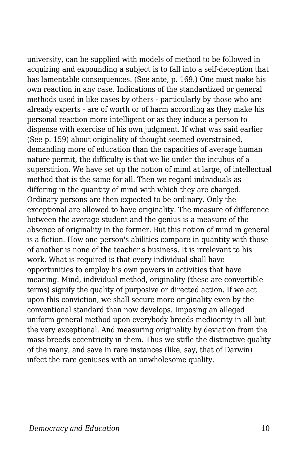university, can be supplied with models of method to be followed in acquiring and expounding a subject is to fall into a self-deception that has lamentable consequences. (See ante, p. 169.) One must make his own reaction in any case. Indications of the standardized or general methods used in like cases by others - particularly by those who are already experts - are of worth or of harm according as they make his personal reaction more intelligent or as they induce a person to dispense with exercise of his own judgment. If what was said earlier (See p. 159) about originality of thought seemed overstrained, demanding more of education than the capacities of average human nature permit, the difficulty is that we lie under the incubus of a superstition. We have set up the notion of mind at large, of intellectual method that is the same for all. Then we regard individuals as differing in the quantity of mind with which they are charged. Ordinary persons are then expected to be ordinary. Only the exceptional are allowed to have originality. The measure of difference between the average student and the genius is a measure of the absence of originality in the former. But this notion of mind in general is a fiction. How one person's abilities compare in quantity with those of another is none of the teacher's business. It is irrelevant to his work. What is required is that every individual shall have opportunities to employ his own powers in activities that have meaning. Mind, individual method, originality (these are convertible terms) signify the quality of purposive or directed action. If we act upon this conviction, we shall secure more originality even by the conventional standard than now develops. Imposing an alleged uniform general method upon everybody breeds mediocrity in all but the very exceptional. And measuring originality by deviation from the mass breeds eccentricity in them. Thus we stifle the distinctive quality of the many, and save in rare instances (like, say, that of Darwin) infect the rare geniuses with an unwholesome quality.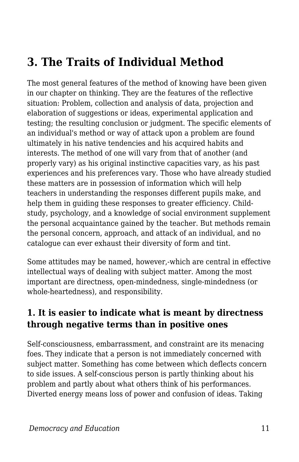### **3. The Traits of Individual Method**

The most general features of the method of knowing have been given in our chapter on thinking. They are the features of the reflective situation: Problem, collection and analysis of data, projection and elaboration of suggestions or ideas, experimental application and testing; the resulting conclusion or judgment. The specific elements of an individual's method or way of attack upon a problem are found ultimately in his native tendencies and his acquired habits and interests. The method of one will vary from that of another (and properly vary) as his original instinctive capacities vary, as his past experiences and his preferences vary. Those who have already studied these matters are in possession of information which will help teachers in understanding the responses different pupils make, and help them in guiding these responses to greater efficiency. Childstudy, psychology, and a knowledge of social environment supplement the personal acquaintance gained by the teacher. But methods remain the personal concern, approach, and attack of an individual, and no catalogue can ever exhaust their diversity of form and tint.

Some attitudes may be named, however,-which are central in effective intellectual ways of dealing with subject matter. Among the most important are directness, open-mindedness, single-mindedness (or whole-heartedness), and responsibility.

#### **1. It is easier to indicate what is meant by directness through negative terms than in positive ones**

Self-consciousness, embarrassment, and constraint are its menacing foes. They indicate that a person is not immediately concerned with subject matter. Something has come between which deflects concern to side issues. A self-conscious person is partly thinking about his problem and partly about what others think of his performances. Diverted energy means loss of power and confusion of ideas. Taking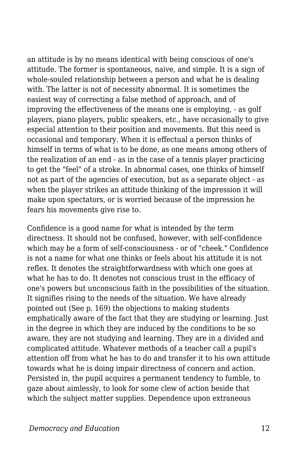an attitude is by no means identical with being conscious of one's attitude. The former is spontaneous, naive, and simple. It is a sign of whole-souled relationship between a person and what he is dealing with. The latter is not of necessity abnormal. It is sometimes the easiest way of correcting a false method of approach, and of improving the effectiveness of the means one is employing, - as golf players, piano players, public speakers, etc., have occasionally to give especial attention to their position and movements. But this need is occasional and temporary. When it is effectual a person thinks of himself in terms of what is to be done, as one means among others of the realization of an end - as in the case of a tennis player practicing to get the "feel" of a stroke. In abnormal cases, one thinks of himself not as part of the agencies of execution, but as a separate object - as when the player strikes an attitude thinking of the impression it will make upon spectators, or is worried because of the impression he fears his movements give rise to.

Confidence is a good name for what is intended by the term directness. It should not be confused, however, with self-confidence which may be a form of self-consciousness - or of "cheek." Confidence is not a name for what one thinks or feels about his attitude it is not reflex. It denotes the straightforwardness with which one goes at what he has to do. It denotes not conscious trust in the efficacy of one's powers but unconscious faith in the possibilities of the situation. It signifies rising to the needs of the situation. We have already pointed out (See p. 169) the objections to making students emphatically aware of the fact that they are studying or learning. Just in the degree in which they are induced by the conditions to be so aware, they are not studying and learning. They are in a divided and complicated attitude. Whatever methods of a teacher call a pupil's attention off from what he has to do and transfer it to his own attitude towards what he is doing impair directness of concern and action. Persisted in, the pupil acquires a permanent tendency to fumble, to gaze about aimlessly, to look for some clew of action beside that which the subject matter supplies. Dependence upon extraneous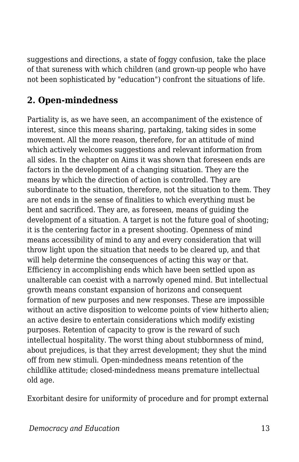suggestions and directions, a state of foggy confusion, take the place of that sureness with which children (and grown-up people who have not been sophisticated by "education") confront the situations of life.

#### **2. Open-mindedness**

Partiality is, as we have seen, an accompaniment of the existence of interest, since this means sharing, partaking, taking sides in some movement. All the more reason, therefore, for an attitude of mind which actively welcomes suggestions and relevant information from all sides. In the chapter on Aims it was shown that foreseen ends are factors in the development of a changing situation. They are the means by which the direction of action is controlled. They are subordinate to the situation, therefore, not the situation to them. They are not ends in the sense of finalities to which everything must be bent and sacrificed. They are, as foreseen, means of guiding the development of a situation. A target is not the future goal of shooting; it is the centering factor in a present shooting. Openness of mind means accessibility of mind to any and every consideration that will throw light upon the situation that needs to be cleared up, and that will help determine the consequences of acting this way or that. Efficiency in accomplishing ends which have been settled upon as unalterable can coexist with a narrowly opened mind. But intellectual growth means constant expansion of horizons and consequent formation of new purposes and new responses. These are impossible without an active disposition to welcome points of view hitherto alien; an active desire to entertain considerations which modify existing purposes. Retention of capacity to grow is the reward of such intellectual hospitality. The worst thing about stubbornness of mind, about prejudices, is that they arrest development; they shut the mind off from new stimuli. Open-mindedness means retention of the childlike attitude; closed-mindedness means premature intellectual old age.

Exorbitant desire for uniformity of procedure and for prompt external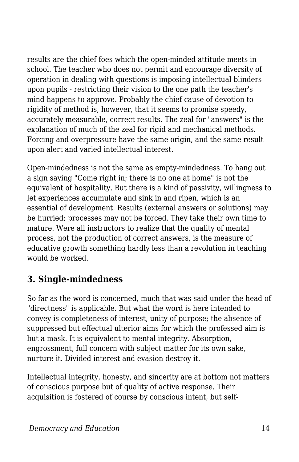results are the chief foes which the open-minded attitude meets in school. The teacher who does not permit and encourage diversity of operation in dealing with questions is imposing intellectual blinders upon pupils - restricting their vision to the one path the teacher's mind happens to approve. Probably the chief cause of devotion to rigidity of method is, however, that it seems to promise speedy, accurately measurable, correct results. The zeal for "answers" is the explanation of much of the zeal for rigid and mechanical methods. Forcing and overpressure have the same origin, and the same result upon alert and varied intellectual interest.

Open-mindedness is not the same as empty-mindedness. To hang out a sign saying "Come right in; there is no one at home" is not the equivalent of hospitality. But there is a kind of passivity, willingness to let experiences accumulate and sink in and ripen, which is an essential of development. Results (external answers or solutions) may be hurried; processes may not be forced. They take their own time to mature. Were all instructors to realize that the quality of mental process, not the production of correct answers, is the measure of educative growth something hardly less than a revolution in teaching would be worked.

#### **3. Single-mindedness**

So far as the word is concerned, much that was said under the head of "directness" is applicable. But what the word is here intended to convey is completeness of interest, unity of purpose; the absence of suppressed but effectual ulterior aims for which the professed aim is but a mask. It is equivalent to mental integrity. Absorption, engrossment, full concern with subject matter for its own sake, nurture it. Divided interest and evasion destroy it.

Intellectual integrity, honesty, and sincerity are at bottom not matters of conscious purpose but of quality of active response. Their acquisition is fostered of course by conscious intent, but self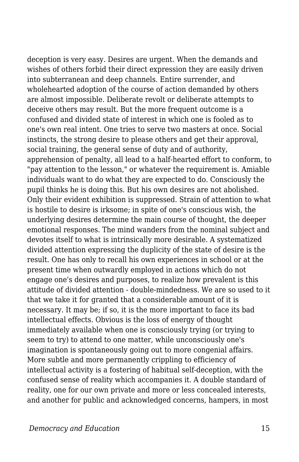deception is very easy. Desires are urgent. When the demands and wishes of others forbid their direct expression they are easily driven into subterranean and deep channels. Entire surrender, and wholehearted adoption of the course of action demanded by others are almost impossible. Deliberate revolt or deliberate attempts to deceive others may result. But the more frequent outcome is a confused and divided state of interest in which one is fooled as to one's own real intent. One tries to serve two masters at once. Social instincts, the strong desire to please others and get their approval, social training, the general sense of duty and of authority, apprehension of penalty, all lead to a half-hearted effort to conform, to "pay attention to the lesson," or whatever the requirement is. Amiable individuals want to do what they are expected to do. Consciously the pupil thinks he is doing this. But his own desires are not abolished. Only their evident exhibition is suppressed. Strain of attention to what is hostile to desire is irksome; in spite of one's conscious wish, the underlying desires determine the main course of thought, the deeper emotional responses. The mind wanders from the nominal subject and devotes itself to what is intrinsically more desirable. A systematized divided attention expressing the duplicity of the state of desire is the result. One has only to recall his own experiences in school or at the present time when outwardly employed in actions which do not engage one's desires and purposes, to realize how prevalent is this attitude of divided attention - double-mindedness. We are so used to it that we take it for granted that a considerable amount of it is necessary. It may be; if so, it is the more important to face its bad intellectual effects. Obvious is the loss of energy of thought immediately available when one is consciously trying (or trying to seem to try) to attend to one matter, while unconsciously one's imagination is spontaneously going out to more congenial affairs. More subtle and more permanently crippling to efficiency of intellectual activity is a fostering of habitual self-deception, with the confused sense of reality which accompanies it. A double standard of reality, one for our own private and more or less concealed interests, and another for public and acknowledged concerns, hampers, in most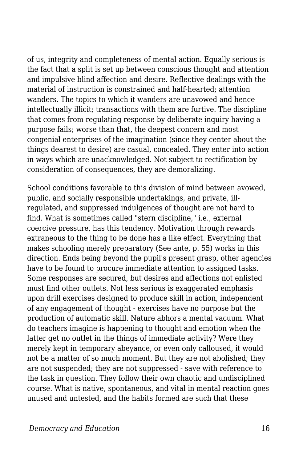of us, integrity and completeness of mental action. Equally serious is the fact that a split is set up between conscious thought and attention and impulsive blind affection and desire. Reflective dealings with the material of instruction is constrained and half-hearted; attention wanders. The topics to which it wanders are unavowed and hence intellectually illicit; transactions with them are furtive. The discipline that comes from regulating response by deliberate inquiry having a purpose fails; worse than that, the deepest concern and most congenial enterprises of the imagination (since they center about the things dearest to desire) are casual, concealed. They enter into action in ways which are unacknowledged. Not subject to rectification by consideration of consequences, they are demoralizing.

School conditions favorable to this division of mind between avowed, public, and socially responsible undertakings, and private, illregulated, and suppressed indulgences of thought are not hard to find. What is sometimes called "stern discipline," i.e., external coercive pressure, has this tendency. Motivation through rewards extraneous to the thing to be done has a like effect. Everything that makes schooling merely preparatory (See ante, p. 55) works in this direction. Ends being beyond the pupil's present grasp, other agencies have to be found to procure immediate attention to assigned tasks. Some responses are secured, but desires and affections not enlisted must find other outlets. Not less serious is exaggerated emphasis upon drill exercises designed to produce skill in action, independent of any engagement of thought - exercises have no purpose but the production of automatic skill. Nature abhors a mental vacuum. What do teachers imagine is happening to thought and emotion when the latter get no outlet in the things of immediate activity? Were they merely kept in temporary abeyance, or even only calloused, it would not be a matter of so much moment. But they are not abolished; they are not suspended; they are not suppressed - save with reference to the task in question. They follow their own chaotic and undisciplined course. What is native, spontaneous, and vital in mental reaction goes unused and untested, and the habits formed are such that these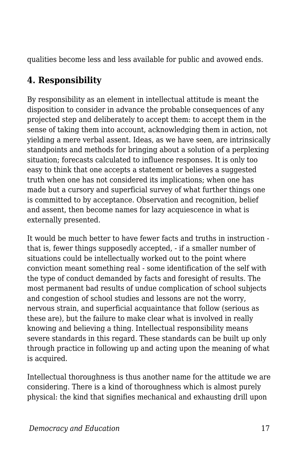qualities become less and less available for public and avowed ends.

#### **4. Responsibility**

By responsibility as an element in intellectual attitude is meant the disposition to consider in advance the probable consequences of any projected step and deliberately to accept them: to accept them in the sense of taking them into account, acknowledging them in action, not yielding a mere verbal assent. Ideas, as we have seen, are intrinsically standpoints and methods for bringing about a solution of a perplexing situation; forecasts calculated to influence responses. It is only too easy to think that one accepts a statement or believes a suggested truth when one has not considered its implications; when one has made but a cursory and superficial survey of what further things one is committed to by acceptance. Observation and recognition, belief and assent, then become names for lazy acquiescence in what is externally presented.

It would be much better to have fewer facts and truths in instruction that is, fewer things supposedly accepted, - if a smaller number of situations could be intellectually worked out to the point where conviction meant something real - some identification of the self with the type of conduct demanded by facts and foresight of results. The most permanent bad results of undue complication of school subjects and congestion of school studies and lessons are not the worry, nervous strain, and superficial acquaintance that follow (serious as these are), but the failure to make clear what is involved in really knowing and believing a thing. Intellectual responsibility means severe standards in this regard. These standards can be built up only through practice in following up and acting upon the meaning of what is acquired.

Intellectual thoroughness is thus another name for the attitude we are considering. There is a kind of thoroughness which is almost purely physical: the kind that signifies mechanical and exhausting drill upon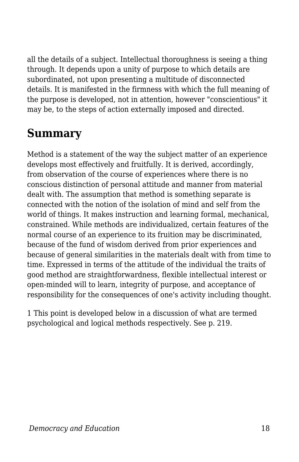all the details of a subject. Intellectual thoroughness is seeing a thing through. It depends upon a unity of purpose to which details are subordinated, not upon presenting a multitude of disconnected details. It is manifested in the firmness with which the full meaning of the purpose is developed, not in attention, however "conscientious" it may be, to the steps of action externally imposed and directed.

## **Summary**

Method is a statement of the way the subject matter of an experience develops most effectively and fruitfully. It is derived, accordingly, from observation of the course of experiences where there is no conscious distinction of personal attitude and manner from material dealt with. The assumption that method is something separate is connected with the notion of the isolation of mind and self from the world of things. It makes instruction and learning formal, mechanical, constrained. While methods are individualized, certain features of the normal course of an experience to its fruition may be discriminated, because of the fund of wisdom derived from prior experiences and because of general similarities in the materials dealt with from time to time. Expressed in terms of the attitude of the individual the traits of good method are straightforwardness, flexible intellectual interest or open-minded will to learn, integrity of purpose, and acceptance of responsibility for the consequences of one's activity including thought.

1 This point is developed below in a discussion of what are termed psychological and logical methods respectively. See p. 219.